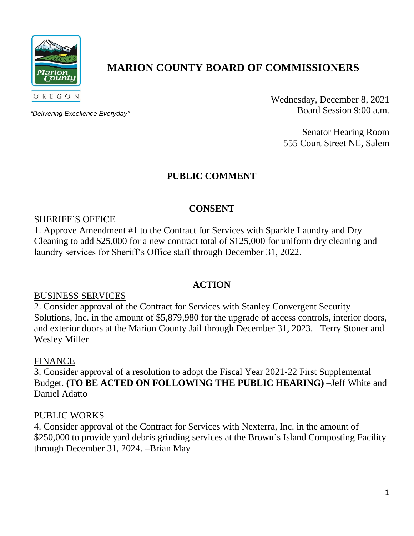

# **MARION COUNTY BOARD OF COMMISSIONERS**

*"Delivering Excellence Everyday"*

Wednesday, December 8, 2021 Board Session 9:00 a.m.

> Senator Hearing Room 555 Court Street NE, Salem

## **PUBLIC COMMENT**

### **CONSENT**

#### SHERIFF'S OFFICE

1. Approve Amendment #1 to the Contract for Services with Sparkle Laundry and Dry Cleaning to add \$25,000 for a new contract total of \$125,000 for uniform dry cleaning and laundry services for Sheriff's Office staff through December 31, 2022.

#### **ACTION**

#### BUSINESS SERVICES

2. Consider approval of the Contract for Services with Stanley Convergent Security Solutions, Inc. in the amount of \$5,879,980 for the upgrade of access controls, interior doors, and exterior doors at the Marion County Jail through December 31, 2023. –Terry Stoner and Wesley Miller

#### FINANCE

3. Consider approval of a resolution to adopt the Fiscal Year 2021-22 First Supplemental Budget. **(TO BE ACTED ON FOLLOWING THE PUBLIC HEARING)** –Jeff White and Daniel Adatto

#### PUBLIC WORKS

4. Consider approval of the Contract for Services with Nexterra, Inc. in the amount of \$250,000 to provide yard debris grinding services at the Brown's Island Composting Facility through December 31, 2024. –Brian May